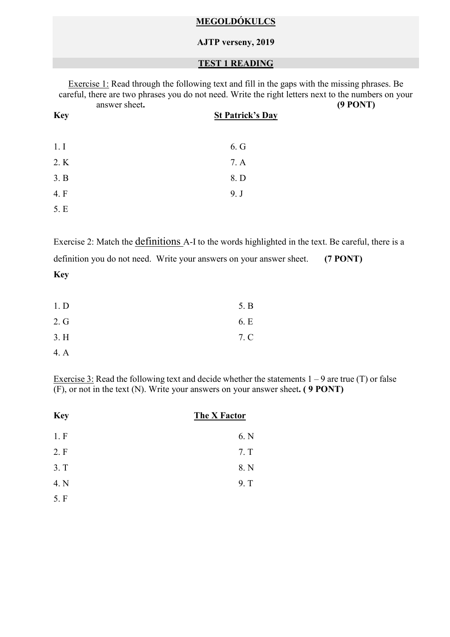## **MEGOLDÓKULCS**

#### **AJTP verseny, 2019**

## **TEST 1 READING**

| answer sheet. | Exercise 1: Read through the following text and fill in the gaps with the missing phrases. Be<br>careful, there are two phrases you do not need. Write the right letters next to the numbers on your<br>$(9$ PONT) |  |
|---------------|--------------------------------------------------------------------------------------------------------------------------------------------------------------------------------------------------------------------|--|
| <b>Key</b>    | <b>St Patrick's Day</b>                                                                                                                                                                                            |  |
| 1.1           | 6. G                                                                                                                                                                                                               |  |
| 2. K          | 7. A                                                                                                                                                                                                               |  |
| 3. B          | 8. D                                                                                                                                                                                                               |  |
| 4. F          | 9. J                                                                                                                                                                                                               |  |
| 5. E          |                                                                                                                                                                                                                    |  |

Exercise 2: Match the definitions A-I to the words highlighted in the text. Be careful, there is a definition you do not need. Write your answers on your answer sheet. **(7 PONT) Key** 

| 1. D | 5. B |
|------|------|
| 2. G | 6. E |
| 3.H  | 7. C |
| 4. A |      |

Exercise 3: Read the following text and decide whether the statements  $1 - 9$  are true (T) or false (F), or not in the text (N). Write your answers on your answer sheet**. ( 9 PONT)** 

| <b>Key</b> | The X Factor |
|------------|--------------|
| 1.F        | 6. N         |
| 2. F       | 7. T         |
| 3. T       | 8. N         |
| 4. N       | 9. T         |
| 5. F       |              |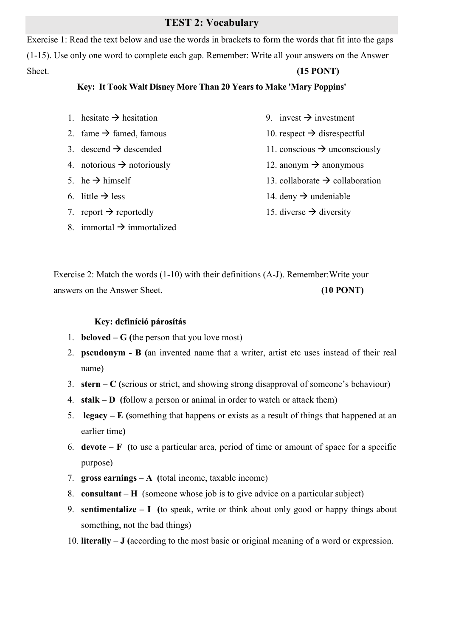# **TEST 2: Vocabulary**

Exercise 1: Read the text below and use the words in brackets to form the words that fit into the gaps (1-15). Use only one word to complete each gap. Remember: Write all your answers on the Answer Sheet. **(15 PONT) (15 PONT)** 

#### **Key: It Took Walt Disney More Than 20 Years to Make 'Mary Poppins'**

- 1. hesitate  $\rightarrow$  hesitation
- 2. fame  $\rightarrow$  famed, famous
- 3. descend  $\rightarrow$  descended
- 4. notorious  $\rightarrow$  notoriously
- 5. he  $\rightarrow$  himself
- 6. little  $\rightarrow$  less
- 7. report  $\rightarrow$  reportedly
- 8. immortal  $\rightarrow$  immortalized
- 9. invest  $\rightarrow$  investment
- 10. respect  $\rightarrow$  disrespectful
- 11. conscious  $\rightarrow$  unconsciously
- 12. anonym  $\rightarrow$  anonymous
- 13. collaborate  $\rightarrow$  collaboration
- 14. deny  $\rightarrow$  undeniable
- 15. diverse  $\rightarrow$  diversity

Exercise 2: Match the words (1-10) with their definitions (A-J). Remember:Write your answers on the Answer Sheet. **(10 PONT) (10 PONT)** 

#### **Key: definíció párosítás**

- 1. **beloved G (**the person that you love most)
- 2. **pseudonym B (**an invented name that a writer, artist etc uses instead of their real name)
- 3. **stern C (**serious or strict, and showing strong disapproval of someone's behaviour)
- 4. **stalk D (**follow a person or animal in order to watch or attack them)
- 5. **legacy E (**something that happens or exists as a result of things that happened at an earlier time**)**
- 6. **devote F (**to use a particular area, period of time or amount of space for a specific purpose)
- 7. **gross earnings A (**total income, taxable income)
- 8. **consultant H** (someone whose job is to give advice on a particular subject)
- 9. **sentimentalize I (**to speak, write or think about only good or happy things about something, not the bad things)
- 10. **literally J (**according to the most basic or original meaning of a word or expression.